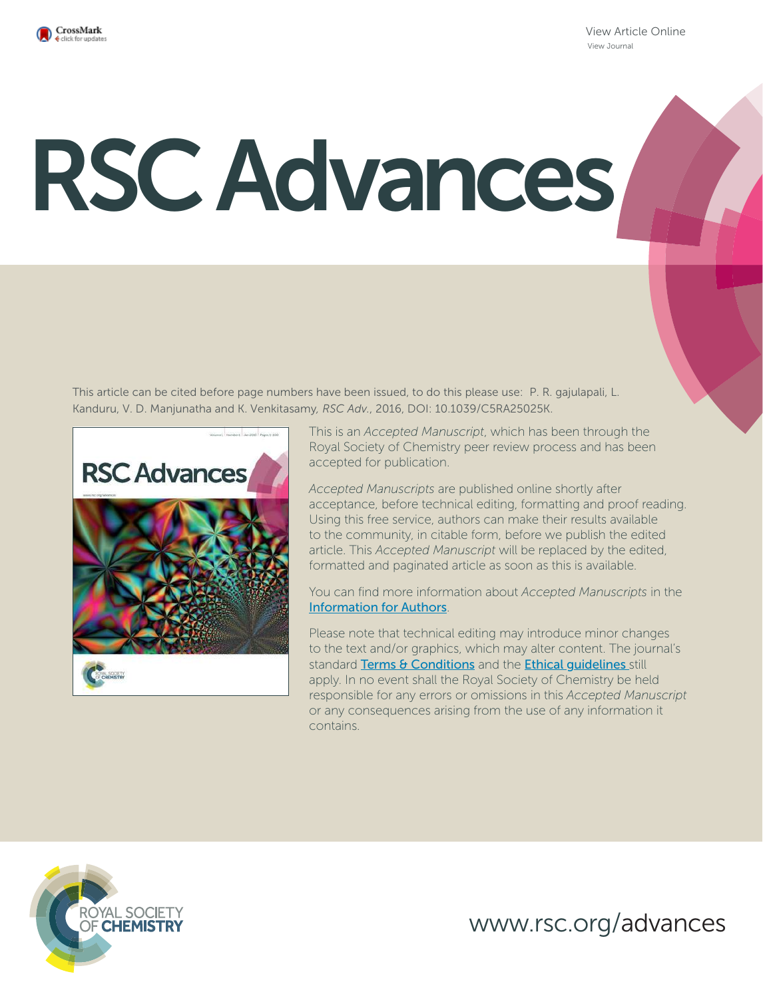

View Article Online View Journal

# RSC Advances

This article can be cited before page numbers have been issued, to do this please use: P. R. gajulapali, L. Kanduru, V. D. Manjunatha and K. Venkitasamy*, RSC Adv.*, 2016, DOI: 10.1039/C5RA25025K.



This is an *Accepted Manuscript*, which has been through the Royal Society of Chemistry peer review process and has been accepted for publication.

*Accepted Manuscripts* are published online shortly after acceptance, before technical editing, formatting and proof reading. Using this free service, authors can make their results available to the community, in citable form, before we publish the edited article. This *Accepted Manuscript* will be replaced by the edited, formatted and paginated article as soon as this is available.

You can find more information about *Accepted Manuscripts* in the Information for Authors.

Please note that technical editing may introduce minor changes to the text and/or graphics, which may alter content. The journal's standard Terms & Conditions and the Ethical quidelines still apply. In no event shall the Royal Society of Chemistry be held responsible for any errors or omissions in this *Accepted Manuscript* or any consequences arising from the use of any information it contains.



www.rsc.org/advances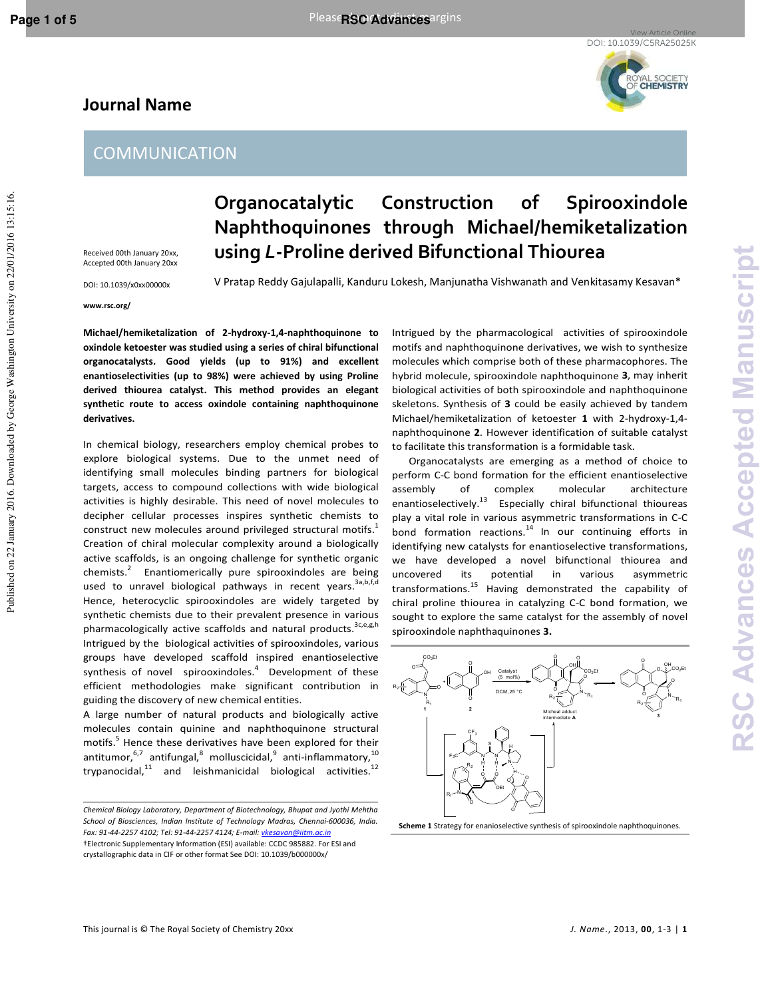Published on 22 January 2016. Downloaded by George Washington University on 22/01/2016 13:15:16.

Published on 22 January 2016. Downloaded by George Washington University on 22/01/2016 13:15:16

# **Journal Name**



Received 00th January 20xx, Accepted 00th January 20xx

DOI: 10.1039/x0xx00000x

## **www.rsc.org/**

**Organocatalytic Construction of Spirooxindole Naphthoquinones through Michael/hemiketalization using** *L***-Proline derived Bifunctional Thiourea** 

V Pratap Reddy Gajulapalli, Kanduru Lokesh, Manjunatha Vishwanath and Venkitasamy Kesavan\*

**Michael/hemiketalization of 2-hydroxy-1,4-naphthoquinone to oxindole ketoester was studied using a series of chiral bifunctional organocatalysts. Good yields (up to 91%) and excellent enantioselectivities (up to 98%) were achieved by using Proline derived thiourea catalyst. This method provides an elegant synthetic route to access oxindole containing naphthoquinone derivatives.** 

In chemical biology, researchers employ chemical probes to explore biological systems. Due to the unmet need of identifying small molecules binding partners for biological targets, access to compound collections with wide biological activities is highly desirable. This need of novel molecules to decipher cellular processes inspires synthetic chemists to construct new molecules around privileged structural motifs.<sup>1</sup> Creation of chiral molecular complexity around a biologically active scaffolds, is an ongoing challenge for synthetic organic chemists.<sup>2</sup> Enantiomerically pure spirooxindoles are being used to unravel biological pathways in recent years.<sup>3a,b,f,d</sup> Hence, heterocyclic spirooxindoles are widely targeted by synthetic chemists due to their prevalent presence in various pharmacologically active scaffolds and natural products.<sup>3c,e,g,h</sup> Intrigued by the biological activities of spirooxindoles, various groups have developed scaffold inspired enantioselective synthesis of novel spirooxindoles.<sup>4</sup> Development of these efficient methodologies make significant contribution in guiding the discovery of new chemical entities.

A large number of natural products and biologically active molecules contain quinine and naphthoquinone structural motifs.<sup>5</sup> Hence these derivatives have been explored for their antitumor, $^{6,7}$  antifungal, $^8$  molluscicidal, $^9$  anti-inflammatory, $^{10}$ trypanocidal, $11$  and leishmanicidal biological activities.<sup>12</sup>

Intrigued by the pharmacological activities of spirooxindole motifs and naphthoquinone derivatives, we wish to synthesize molecules which comprise both of these pharmacophores. The hybrid molecule, spirooxindole naphthoquinone **3**, may inherit biological activities of both spirooxindole and naphthoquinone skeletons. Synthesis of **3** could be easily achieved by tandem Michael/hemiketalization of ketoester **1** with 2-hydroxy-1,4 naphthoquinone **2**. However identification of suitable catalyst to facilitate this transformation is a formidable task.

 Organocatalysts are emerging as a method of choice to perform C-C bond formation for the efficient enantioselective assembly of complex molecular architecture enantioselectively.<sup>13</sup> Especially chiral bifunctional thioureas play a vital role in various asymmetric transformations in C-C bond formation reactions.<sup>14</sup> In our continuing efforts in identifying new catalysts for enantioselective transformations, we have developed a novel bifunctional thiourea and uncovered its potential in various asymmetric transformations.<sup>15</sup> Having demonstrated the capability of chiral proline thiourea in catalyzing C-C bond formation, we sought to explore the same catalyst for the assembly of novel spirooxindole naphthaquinones **3.** 



**Scheme 1** Strategy for enanioselective synthesis of spirooxindole naphthoquinones.

*Chemical Biology Laboratory, Department of Biotechnology, Bhupat and Jyothi Mehtha School of Biosciences, Indian Institute of Technology Madras, Chennai-600036, India. Fax: 91-44-2257 4102; Tel: 91-44-2257 4124; E-mail: vkesavan@iitm.ac.in*  †Electronic Supplementary Information (ESI) available: CCDC 985882. For ESI and crystallographic data in CIF or other format See DOI: 10.1039/b000000x/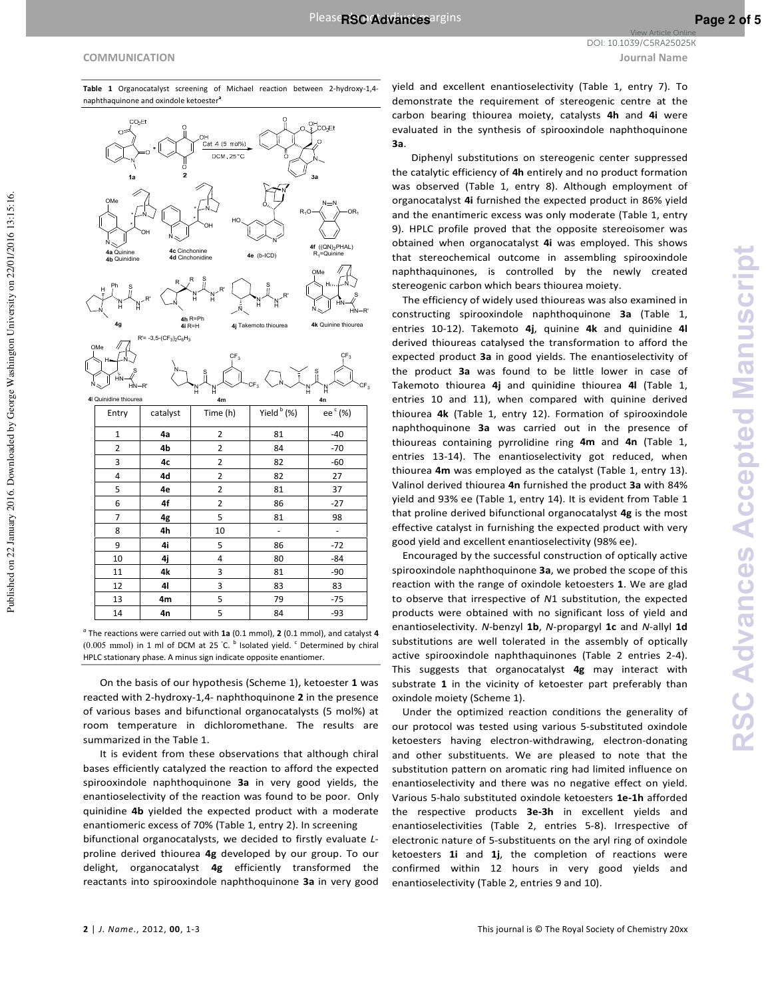N

4a Quinine 4b Quinidine

N Ņ H Ph s Ņ H R'

н

4g

N

ΗN s HN-R'

н

ОМе

**RSC Advances Accepted Manuscript**

**RSC Advances Accepted Manuscrip** 

**COMMUNICATION Journal Name** View Article Online DOI: 10.1039/C5RA25025K



**Table 1** Organocatalyst screening of Michael reaction between 2-hydroxy-1,4 naphthaquinone and oxindole ketoester<sup>i</sup>

> Cat. 4 (5 mol%) DCM 25 °C

*a* The reactions were carried out with **1a** (0.1 mmol), **2** (0.1 mmol), and catalyst **4** (0.005 mmol) in 1 ml of DCM at 25 °C. <sup>b</sup> Isolated yield. <sup>c</sup> Determined by chiral HPLC stationary phase. A minus sign indicate opposite enantiomer.

**4a** 2 81 -40 **4b** 2 84 -70 **4c** 2 82 -60 **4d** 2 82 27 **4e** 2 81 37 **4f** 2 86 -27 **4g** 1 5 81 98 **4h** 10 - -**4i** 5 86 -72 **4j 4** 80 **-84 4k** 3 81 -90 **4l** 3 83 83 **4m** 5 79 -75 **4n 5** 84 **-93** 

Yield  $<sup>b</sup>$  (%)</sup>

N

Ņ н s Ņ H

N

OMe

N

Ņ Н S R'

O Ņ

4e (b-ICD)

Ņ H N

4j Taker

c  $F_3$ 4m **4m** 4m

c  $_{\mathsf{F}_3}$ 

(%)

Ç  $_{\mathsf{F}_3}$ 

N

ΗN S HN-R'

Ak Quinine thioures

c  $F_3$ 

 $N$   $\equiv$   $N$  $R_1$ O $\rightarrow \wedge$   $\rightarrow$  O $R_1$ 

.<br>CO-Et

**4f** ((QN)<sub>2</sub>PHAL)<br>R<sub>1</sub>=Quinine

н

 $Entry$  catalyst Time (h)

N

N

N Ņ H S Ņ Н R'

 $R = -3.5\cdot (CF_3)_2C_6H_3$ 

R R

ОН N

- -

4c Cinchonine<br>4d Cinchonidine

4h R=Ph<br>4i R=H

Ņ H s Ņ H

- - OН N

HО

 On the basis of our hypothesis (Scheme 1), ketoester **1** was reacted with 2-hydroxy-1,4- naphthoquinone **2** in the presence of various bases and bifunctional organocatalysts (5 mol%) at room temperature in dichloromethane. The results are summarized in the Table 1.

 It is evident from these observations that although chiral bases efficiently catalyzed the reaction to afford the expected spirooxindole naphthoquinone **3a** in very good yields, the enantioselectivity of the reaction was found to be poor. Only quinidine **4b** yielded the expected product with a moderate enantiomeric excess of 70% (Table 1, entry 2). In screening

bifunctional organocatalysts, we decided to firstly evaluate *L*proline derived thiourea **4g** developed by our group. To our delight, organocatalyst **4g** efficiently transformed the reactants into spirooxindole naphthoquinone **3a** in very good yield and excellent enantioselectivity (Table 1, entry 7). To demonstrate the requirement of stereogenic centre at the carbon bearing thiourea moiety, catalysts **4h** and **4i** were evaluated in the synthesis of spirooxindole naphthoquinone **3a**.

 Diphenyl substitutions on stereogenic center suppressed the catalytic efficiency of **4h** entirely and no product formation was observed (Table 1, entry 8). Although employment of organocatalyst **4i** furnished the expected product in 86% yield and the enantimeric excess was only moderate (Table 1, entry 9). HPLC profile proved that the opposite stereoisomer was obtained when organocatalyst **4i** was employed. This shows that stereochemical outcome in assembling spirooxindole naphthaquinones, is controlled by the newly created stereogenic carbon which bears thiourea moiety.

 The efficiency of widely used thioureas was also examined in constructing spirooxindole naphthoquinone **3a** (Table 1, entries 10-12). Takemoto **4j**, quinine **4k** and quinidine **4l** derived thioureas catalysed the transformation to afford the expected product **3a** in good yields. The enantioselectivity of the product **3a** was found to be little lower in case of Takemoto thiourea **4j** and quinidine thiourea **4l** (Table 1, entries 10 and 11), when compared with quinine derived thiourea **4k** (Table 1, entry 12). Formation of spirooxindole naphthoquinone **3a** was carried out in the presence of thioureas containing pyrrolidine ring **4m** and **4n** (Table 1, entries 13-14). The enantioselectivity got reduced, when thiourea **4m** was employed as the catalyst (Table 1, entry 13). Valinol derived thiourea **4n** furnished the product **3a** with 84% yield and 93% ee (Table 1, entry 14). It is evident from Table 1 that proline derived bifunctional organocatalyst **4g** is the most effective catalyst in furnishing the expected product with very good yield and excellent enantioselectivity (98% ee).

 Encouraged by the successful construction of optically active spirooxindole naphthoquinone **3a**, we probed the scope of this reaction with the range of oxindole ketoesters **1**. We are glad to observe that irrespective of *N*1 substitution, the expected products were obtained with no significant loss of yield and enantioselectivity. *N*-benzyl **1b**, *N*-propargyl **1c** and *N*-allyl **1d** substitutions are well tolerated in the assembly of optically active spirooxindole naphthaquinones (Table 2 entries 2-4). This suggests that organocatalyst **4g** may interact with substrate **1** in the vicinity of ketoester part preferably than oxindole moiety (Scheme 1).

 Under the optimized reaction conditions the generality of our protocol was tested using various 5-substituted oxindole ketoesters having electron-withdrawing, electron-donating and other substituents. We are pleased to note that the substitution pattern on aromatic ring had limited influence on enantioselectivity and there was no negative effect on yield. Various 5-halo substituted oxindole ketoesters **1e-1h** afforded the respective products **3e-3h** in excellent yields and enantioselectivities (Table 2, entries 5-8). Irrespective of electronic nature of 5-substituents on the aryl ring of oxindole ketoesters **1i** and **1j**, the completion of reactions were confirmed within 12 hours in very good yields and enantioselectivity (Table 2, entries 9 and 10).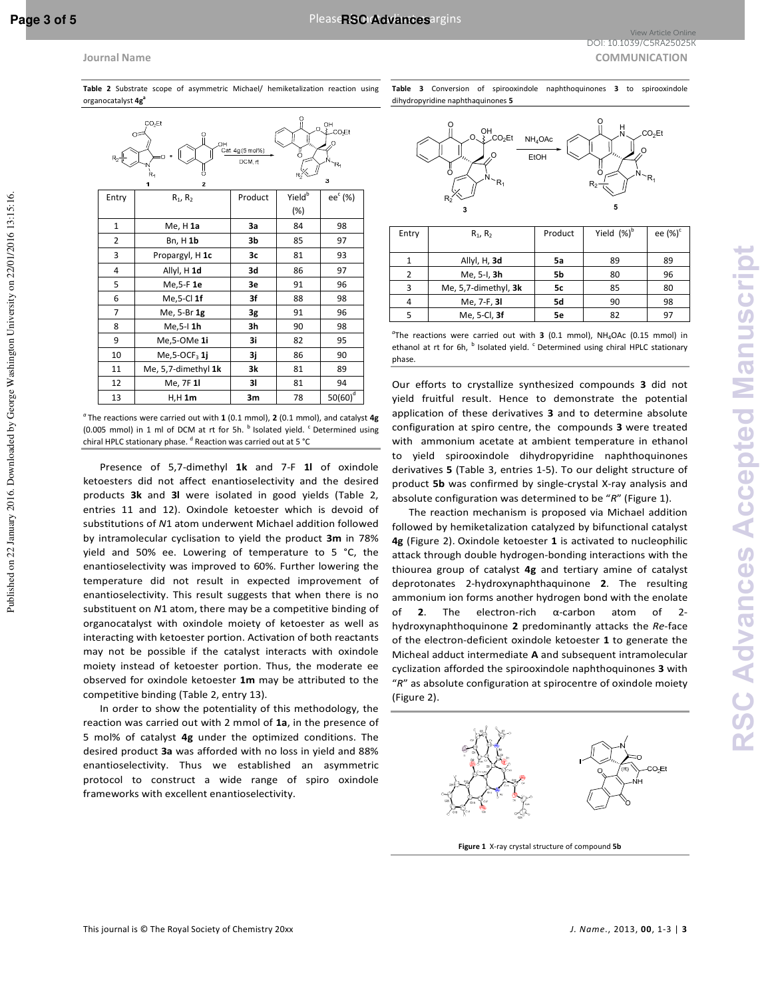organocatalyst **4g<sup>a</sup>**

**Journal Name** COMMUNICATION **COMMUNICATION** View Article Online DOI: 10.1039/C5RA25025K

| CO <sub>2</sub> Et<br>$O_{\text{L}}$ $O_{\text{L}}$ $O_{\text{L}}$ $O_{\text{L}}$ $O_{\text{R}}$ $O_{\text{R}}$ $O_{\text{R}}$ $O_{\text{R}}$ $O_{\text{R}}$ $O_{\text{R}}$ $O_{\text{R}}$ $O_{\text{R}}$ $O_{\text{R}}$ $O_{\text{R}}$ $O_{\text{R}}$ $O_{\text{R}}$ $O_{\text{R}}$ $O_{\text{R}}$ $O_{\text{R}}$ $O_{\text{R}}$ $O_{\text{R}}$ $O_{\text{R}}$<br>Ωź<br>OН<br>Cat. 4g (5 mol%)<br>Ö<br>$R_2 \frac{  }{ V }$<br>DCM, rt<br>R,<br>Χ<br>Ŕ,<br>3<br>$\overline{2}$<br>1 |                              |         |                    |            |  |  |
|--------------------------------------------------------------------------------------------------------------------------------------------------------------------------------------------------------------------------------------------------------------------------------------------------------------------------------------------------------------------------------------------------------------------------------------------------------------------------------------|------------------------------|---------|--------------------|------------|--|--|
| Entry                                                                                                                                                                                                                                                                                                                                                                                                                                                                                | $R_1, R_2$                   | Product | Yield <sup>b</sup> | $ee^c$ (%) |  |  |
|                                                                                                                                                                                                                                                                                                                                                                                                                                                                                      |                              |         | $(\%)$             |            |  |  |
| $\mathbf{1}$                                                                                                                                                                                                                                                                                                                                                                                                                                                                         | $Me, H$ 1a                   | За      | 84                 | 98         |  |  |
| 2                                                                                                                                                                                                                                                                                                                                                                                                                                                                                    | Bn, H 1b                     | 3b      | 85                 | 97         |  |  |
| 3                                                                                                                                                                                                                                                                                                                                                                                                                                                                                    | Propargyl, H 1c              | 3c      | 81                 | 93         |  |  |
| 4                                                                                                                                                                                                                                                                                                                                                                                                                                                                                    | Allyl, H 1d                  | 3d      | 86                 | 97         |  |  |
| 5                                                                                                                                                                                                                                                                                                                                                                                                                                                                                    | Me, 5-F 1e                   | 3e      | 91                 | 96         |  |  |
| 6                                                                                                                                                                                                                                                                                                                                                                                                                                                                                    | $Me15-CI1f$                  | 3f      | 88                 | 98         |  |  |
| $\overline{7}$                                                                                                                                                                                                                                                                                                                                                                                                                                                                       | Me, 5-Br 1g                  | 3g      | 91                 | 96         |  |  |
| 8                                                                                                                                                                                                                                                                                                                                                                                                                                                                                    | Me, 5-1 1h                   | 3h      | 90                 | 98         |  |  |
| 9                                                                                                                                                                                                                                                                                                                                                                                                                                                                                    | Me,5-OMe 1i                  | 3i      | 82                 | 95         |  |  |
| 10                                                                                                                                                                                                                                                                                                                                                                                                                                                                                   | $Me$ , 5-OCF <sub>3</sub> 1j | 3j      | 86                 | 90         |  |  |
| 11                                                                                                                                                                                                                                                                                                                                                                                                                                                                                   | Me, 5,7-dimethyl 1k          | 3k      | 81                 | 89         |  |  |
| 12                                                                                                                                                                                                                                                                                                                                                                                                                                                                                   | Me, 7F 11                    | 31      | 81                 | 94         |  |  |
| 13                                                                                                                                                                                                                                                                                                                                                                                                                                                                                   | $H,H$ 1m                     | 3m      | 78                 | $50(60)^d$ |  |  |

**Table 2** Substrate scope of asymmetric Michael/ hemiketalization reaction using

*<sup>a</sup>*The reactions were carried out with **1** (0.1 mmol), **2** (0.1 mmol), and catalyst **4g** (0.005 mmol) in 1 ml of DCM at rt for 5h.  $<sup>b</sup>$  Isolated yield.  $<sup>c</sup>$  Determined using</sup></sup> chiral HPLC stationary phase. <sup>d</sup> Reaction was carried out at 5 °C

 Presence of 5,7-dimethyl **1k** and 7-F **1l** of oxindole ketoesters did not affect enantioselectivity and the desired products **3k** and **3l** were isolated in good yields (Table 2, entries 11 and 12). Oxindole ketoester which is devoid of substitutions of *N*1 atom underwent Michael addition followed by intramolecular cyclisation to yield the product **3m** in 78% yield and 50% ee. Lowering of temperature to 5 °C, the enantioselectivity was improved to 60%. Further lowering the temperature did not result in expected improvement of enantioselectivity. This result suggests that when there is no substituent on *N*1 atom, there may be a competitive binding of organocatalyst with oxindole moiety of ketoester as well as interacting with ketoester portion. Activation of both reactants may not be possible if the catalyst interacts with oxindole moiety instead of ketoester portion. Thus, the moderate ee observed for oxindole ketoester **1m** may be attributed to the competitive binding (Table 2, entry 13).

 In order to show the potentiality of this methodology, the reaction was carried out with 2 mmol of **1a**, in the presence of 5 mol% of catalyst **4g** under the optimized conditions. The desired product **3a** was afforded with no loss in yield and 88% enantioselectivity. Thus we established an asymmetric protocol to construct a wide range of spiro oxindole frameworks with excellent enantioselectivity.

**Table 3** Conversion of spirooxindole naphthoquinones **3** to spirooxindole dihydropyridine naphthaquinones **5**



| Entry | $R_1, R_2$           | Product | Yield $(\%)^b$ | ee (%) <sup>c</sup> |
|-------|----------------------|---------|----------------|---------------------|
|       |                      |         |                |                     |
|       | Allyl, H, 3d         | 5a      | 89             | 89                  |
| 2     | Me, 5-I, 3h          | 5b      | 80             | 96                  |
| 3     | Me, 5,7-dimethyl, 3k | 5с      | 85             | 80                  |
| 4     | Me, 7-F, 3I          | 5d      | 90             | 98                  |
| 5     | Me, 5-Cl, 3f         | 5e      | 82             | 97                  |

<sup>a</sup>The reactions were carried out with **3** (0.1 mmol), NH<sub>4</sub>OAc (0.15 mmol) in ethanol at rt for 6h, <sup>b</sup> Isolated yield. <sup>c</sup> Determined using chiral HPLC stationary phase.

Our efforts to crystallize synthesized compounds **3** did not yield fruitful result. Hence to demonstrate the potential application of these derivatives **3** and to determine absolute configuration at spiro centre, the compounds **3** were treated with ammonium acetate at ambient temperature in ethanol to yield spirooxindole dihydropyridine naphthoquinones derivatives **5** (Table 3, entries 1-5). To our delight structure of product **5b** was confirmed by single-crystal X-ray analysis and absolute configuration was determined to be "*R*" (Figure 1).

 The reaction mechanism is proposed via Michael addition followed by hemiketalization catalyzed by bifunctional catalyst **4g** (Figure 2). Oxindole ketoester **1** is activated to nucleophilic attack through double hydrogen-bonding interactions with the thiourea group of catalyst **4g** and tertiary amine of catalyst deprotonates 2-hydroxynaphthaquinone **2**. The resulting ammonium ion forms another hydrogen bond with the enolate of **2**. The electron-rich α-carbon atom of 2 hydroxynaphthoquinone **2** predominantly attacks the *Re*-face of the electron-deficient oxindole ketoester **1** to generate the Micheal adduct intermediate **A** and subsequent intramolecular cyclization afforded the spirooxindole naphthoquinones **3** with "*R*" as absolute configuration at spirocentre of oxindole moiety (Figure 2).



**Figure 1** X-ray crystal structure of compound **5b**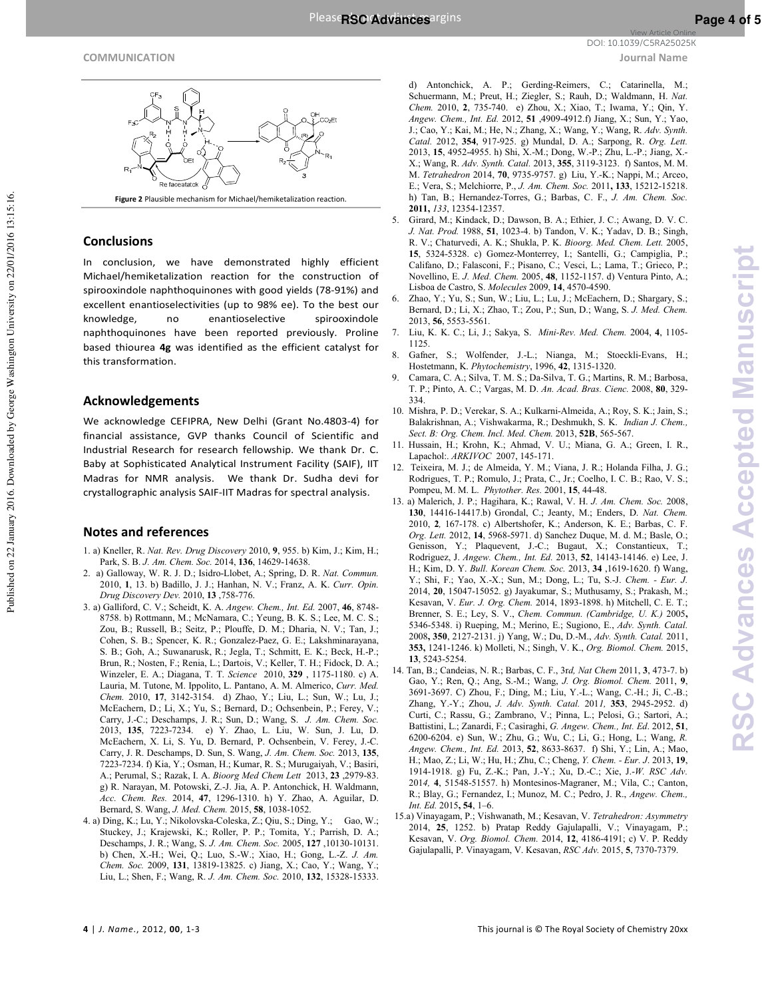

Figure 2 Plausible mechanism for Michael/hemiketalization reaction

# **Conclusions**

In conclusion, we have demonstrated highly efficient Michael/hemiketalization reaction for the construction of spirooxindole naphthoquinones with good yields (78-91%) and excellent enantioselectivities (up to 98% ee). To the best our enantioselective knowledge. no spirooxindole naphthoquinones have been reported previously. Proline based thiourea 4g was identified as the efficient catalyst for this transformation.

# **Acknowledgements**

We acknowledge CEFIPRA, New Delhi (Grant No.4803-4) for financial assistance, GVP thanks Council of Scientific and Industrial Research for research fellowship. We thank Dr. C. Baby at Sophisticated Analytical Instrument Facility (SAIF), IIT Madras for NMR analysis. We thank Dr. Sudha devi for crystallographic analysis SAIF-IIT Madras for spectral analysis.

# **Notes and references**

- 1. a) Kneller, R. Nat. Rev. Drug Discovery 2010, 9, 955. b) Kim, J.; Kim, H.; Park, S. B. J. Am. Chem. Soc. 2014, 136, 14629-14638.
- 2. a) Galloway, W. R. J. D.; Isidro-Llobet, A.; Spring, D. R. Nat. Commun. 2010, 1, 13. b) Badillo, J. J.; Hanhan, N. V.; Franz, A. K. Curr. Opin. Drug Discovery Dev. 2010, 13 ,758-776.
- 3. a) Galliford, C. V.; Scheidt, K. A. Angew. Chem., Int. Ed. 2007, 46, 8748-8758. b) Rottmann, M.; McNamara, C.; Yeung, B. K. S.; Lee, M. C. S.; Zou, B.; Russell, B.; Seitz, P.; Plouffe, D. M.; Dharia, N. V.; Tan, J.; Cohen, S. B.; Spencer, K. R.; Gonzalez-Paez, G. E.; Lakshminarayana, S. B.; Goh, A.; Suwanarusk, R.; Jegla, T.; Schmitt, E. K.; Beck, H.-P.; Brun, R.; Nosten, F.; Renia, L.; Dartois, V.; Keller, T. H.; Fidock, D. A.; Winzeler, E. A.; Diagana, T. T. Science 2010, 329, 1175-1180. c) A. Lauria, M. Tutone, M. Ippolito, L. Pantano, A. M. Almerico, Curr. Med. Chem. 2010, 17, 3142-3154. d) Zhao, Y.; Liu, L.; Sun, W.; Lu, J.; McEachern, D.; Li, X.; Yu, S.; Bernard, D.; Ochsenbein, P.; Ferey, V.; Carry, J.-C.; Deschamps, J. R.; Sun, D.; Wang, S. J. Am. Chem. Soc.<br>2013, 135, 7223-7234. e) Y. Zhao, L. Liu, W. Sun, J. Lu, D. McEachern, X. Li, S. Yu, D. Bernard, P. Ochsenbein, V. Ferey, J.-C. Carry, J. R. Deschamps, D. Sun, S. Wang, J. Am. Chem. Soc. 2013, 135, 7223-7234. f) Kia, Y.; Osman, H.; Kumar, R. S.; Murugaiyah, V.; Basiri, A.; Perumal, S.; Razak, I. A. Bioorg Med Chem Lett 2013, 23, 2979-83. g) R. Narayan, M. Potowski, Z.-J. Jia, A. P. Antonchick, H. Waldmann, Acc. Chem. Res. 2014, 47, 1296-1310. h) Y. Zhao, A. Aguilar, D. Bernard, S. Wang, J. Med. Chem. 2015, 58, 1038-1052.
- 4. a) Ding, K.; Lu, Y.; Nikolovska-Coleska, Z.; Qiu, S.; Ding, Y.; Gao, W.; Stuckey, J.; Krajewski, K.; Roller, P. P.; Tomita, Y.; Parrish, D. A.; Deschamps, J. R.; Wang, S. J. Am. Chem. Soc. 2005, 127, 10130-10131. b) Chen, X.-H.; Wei, Q.; Luo, S.-W.; Xiao, H.; Gong, L.-Z. J. Am. Chem. Soc. 2009, 131, 13819-13825. c) Jiang, X.; Cao, Y.; Wang, Y.; Liu, L.; Shen, F.; Wang, R. J. Am. Chem. Soc. 2010, 132, 15328-15333.

d) Antonchick, A. P.; Gerding-Reimers, C.; Catarinella, M.; Schuermann, M.; Preut, H.; Ziegler, S.; Rauh, D.; Waldmann, H. Nat. Chem. 2010, 2, 735-740. e) Zhou, X.; Xiao, T.; Iwama, Y.; Qin, Y. Angew. Chem., Int. Ed. 2012, 51 ,4909-4912.f) Jiang, X.; Sun, Y.; Yao, J.; Cao, Y.; Kai, M.; He, N.; Zhang, X.; Wang, Y.; Wang, R. Adv. Synth. Catal. 2012, 354, 917-925. g) Mundal, D. A.; Sarpong, R. Org. Lett. 2013, 15, 4952-4955. h) Shi, X.-M.; Dong, W.-P.; Zhu, L.-P.; Jiang, X.-X.; Wang, R. Adv. Synth. Catal. 2013, 355, 3119-3123. f) Santos, M. M. M. Tetrahedron 2014, 70, 9735-9757. g) Liu, Y.-K.; Nappi, M.; Arceo, E.; Vera, S.; Melchiorre, P., J. Am. Chem. Soc. 2011, 133, 15212-15218. h) Tan, B.; Hernandez-Torres, G.; Barbas, C. F., J. Am. Chem. Soc. 2011, 133, 12354-12357.

- Girard, M.; Kindack, D.; Dawson, B. A.; Ethier, J. C.; Awang, D. V. C. J. Nat. Prod. 1988, 51, 1023-4. b) Tandon, V. K.; Yadav, D. B.; Singh, R. V.; Chaturvedi, A. K.; Shukla, P. K. Bioorg. Med. Chem. Lett. 2005, 15, 5324-5328. c) Gomez-Monterrey, I.; Santelli, G.; Campiglia, P.; Califano, D.; Falasconi, F.; Pisano, C.; Vesci, L.; Lama, T.; Grieco, P.; Novellino, E. J. Med. Chem. 2005, 48, 1152-1157. d) Ventura Pinto, A.; Lisboa de Castro, S. Molecules 2009, 14, 4570-4590.
- Zhao, Y.; Yu, S.; Sun, W.; Liu, L.; Lu, J.; McEachern, D.; Shargary, S.; 6. Bernard, D.; Li, X.; Zhao, T.; Zou, P.; Sun, D.; Wang, S. J. Med. Chem. 2013, 56, 5553-5561.
- $7.$ Liu, K. K. C.; Li, J.; Sakya, S. Mini-Rev. Med. Chem. 2004, 4, 1105-1125
- $\mathbf{R}$ Gafner, S.; Wolfender, J.-L.; Nianga, M.; Stoeckli-Evans, H.; Hostetmann, K. Phytochemistry, 1996, 42, 1315-1320.
- Camara, C. A.; Silva, T. M. S.; Da-Silva, T. G.; Martins, R. M.; Barbosa, T. P.; Pinto, A. C.; Vargas, M. D. An. Acad. Bras. Cienc. 2008, 80, 329-334
- 10. Mishra, P. D.; Verekar, S. A.; Kulkarni-Almeida, A.; Roy, S. K.; Jain, S.; Balakrishnan, A.; Vishwakarma, R.; Deshmukh, S. K. Indian J. Chem., Sect. B: Org. Chem. Incl. Med. Chem. 2013, 52B, 565-567.
- 11. Hussain, H.; Krohn, K.; Ahmad, V. U.; Miana, G. A.; Green, I. R., Lapachol: ARKIVOC 2007, 145-171.
- 12. Teixeira, M. J.; de Almeida, Y. M.; Viana, J. R.; Holanda Filha, J. G.; Rodrigues, T. P.; Romulo, J.; Prata, C., Jr.; Coelho, I. C. B.; Rao, V. S.; Pompeu, M. M. L. Phytother. Res. 2001, 15, 44-48.
- 13. a) Malerich, J. P.; Hagihara, K.; Rawal, V. H. J. Am. Chem. Soc. 2008, 130, 14416-14417.b) Grondal, C.; Jeanty, M.; Enders, D. Nat. Chem. 2010, 2, 167-178. c) Albertshofer, K.; Anderson, K. E.; Barbas, C. F. Org. Lett. 2012, 14, 5968-5971. d) Sanchez Duque, M. d. M.; Basle, O.; Genisson, Y.; Plaquevent, J.-C.; Bugaut, X.; Constantieux, T.; Rodriguez, J. Angew. Chem., Int. Ed. 2013, 52, 14143-14146. e) Lee, J. H.; Kim, D. Y. Bull. Korean Chem. Soc. 2013, 34, 1619-1620. f) Wang, Y.; Shi, F.; Yao, X.-X.; Sun, M.; Dong, L.; Tu, S.-J. Chem. - Eur. J. 2014, 20, 15047-15052. g) Jayakumar, S.; Muthusamy, S.; Prakash, M.; Kesavan, V. Eur. J. Org. Chem. 2014, 1893-1898. h) Mitchell, C. E. T.; Brenner, S. E.; Ley, S. V., Chem. Commun. (Cambridge, U. K.) 2005, 5346-5348. i) Rueping, M.; Merino, E.; Sugiono, E., Adv. Synth. Catal. 2008, 350, 2127-2131. j) Yang, W.; Du, D.-M., Adv. Synth. Catal. 2011, 353, 1241-1246. k) Molleti, N.; Singh, V. K., Org. Biomol. Chem. 2015, 13, 5243-5254.
- 14. Tan, B.; Candeias, N. R.; Barbas, C. F., 3rd, Nat Chem 2011, 3, 473-7. b) Gao, Y.; Ren, Q.; Ang, S.-M.; Wang, J. Org. Biomol. Chem. 2011, 9, 3691-3697. C) Zhou, F.; Ding, M.; Liu, Y.-L.; Wang, C.-H.; Ji, C.-B.; Zhang, Y.-Y.; Zhou, J. Adv. Synth. Catal. 2011, 353, 2945-2952. d) Curti, C.; Rassu, G.; Zambrano, V.; Pinna, L.; Pelosi, G.; Sartori, A.; Battistini, L.; Zanardi, F.; Casiraghi, G. Angew. Chem., Int. Ed. 2012, 51, 6200-6204. e) Sun, W.; Zhu, G.; Wu, C.; Li, G.; Hong, L.; Wang, R. Angew. Chem., Int. Ed. 2013, 52, 8633-8637. f) Shi, Y.; Lin, A.; Mao, H.; Mao, Z.; Li, W.; Hu, H.; Zhu, C.; Cheng, Y. Chem. - Eur. J. 2013, 19, 1914-1918. g) Fu, Z.-K.; Pan, J.-Y.; Xu, D.-C.; Xie, J.-W. RSC Adv. 2014, 4, 51548-51557. h) Montesinos-Magraner, M.; Vila, C.; Canton, R.; Blay, G.; Fernandez, I.; Munoz, M. C.; Pedro, J. R., Angew. Chem., Int. Ed. 2015, 54, 1-6.
- 15.a) Vinayagam, P.; Vishwanath, M.; Kesavan, V. Tetrahedron: Asymmetry 2014, 25, 1252. b) Pratap Reddy Gajulapalli, V.; Vinayagam, P.; Kesavan, V. Org. Biomol. Chem. 2014, 12, 4186-4191; c) V. P. Reddy Gajulapalli, P. Vinayagam, V. Kesavan, RSC Adv. 2015, 5, 7370-7379.

**Journal Name**